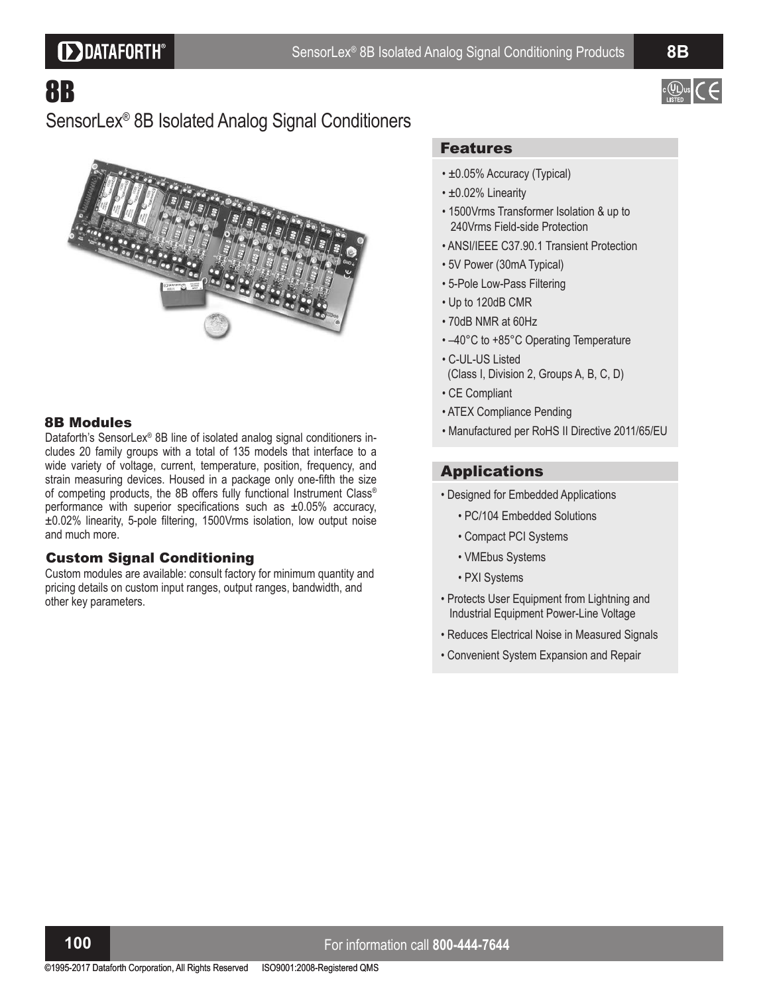# **DDATAFORTH®**

 $\circ$   $(\downarrow)$ 

# 8B

## SensorLex® 8B Isolated Analog Signal Conditioners



#### 8B Modules

Dataforth's SensorLex® 8B line of isolated analog signal conditioners includes 20 family groups with a total of 135 models that interface to a wide variety of voltage, current, temperature, position, frequency, and strain measuring devices. Housed in a package only one-fifth the size of competing products, the 8B offers fully functional Instrument Class® performance with superior specifications such as  $\pm 0.05\%$  accuracy,  $\pm 0.02\%$  linearity, 5-pole filtering, 1500Vrms isolation, low output noise and much more.

#### Custom Signal Conditioning

Custom modules are available: consult factory for minimum quantity and pricing details on custom input ranges, output ranges, bandwidth, and other key parameters.

#### Features

- ±0.05% Accuracy (Typical)
- ±0.02% Linearity
- 1500Vrms Transformer Isolation & up to 240Vrms Field-side Protection
- ANSI/IEEE C37.90.1 Transient Protection
- 5V Power (30mA Typical)
- 5-Pole Low-Pass Filtering
- Up to 120dB CMR
- 70dB NMR at 60Hz
- $\cdot$  -40°C to +85°C Operating Temperature
- C-UL-US Listed (Class I, Division 2, Groups A, B, C, D)
- CE Compliant
- ATEX Compliance Pending
- Manufactured per RoHS II Directive 2011/65/EU

### Applications

- Designed for Embedded Applications
	- PC/104 Embedded Solutions
	- Compact PCI Systems
	- VMEbus Systems
	- PXI Systems
- Protects User Equipment from Lightning and Industrial Equipment Power-Line Voltage
- Reduces Electrical Noise in Measured Signals
- Convenient System Expansion and Repair

### **1 0 0** For information call **800-444-7644**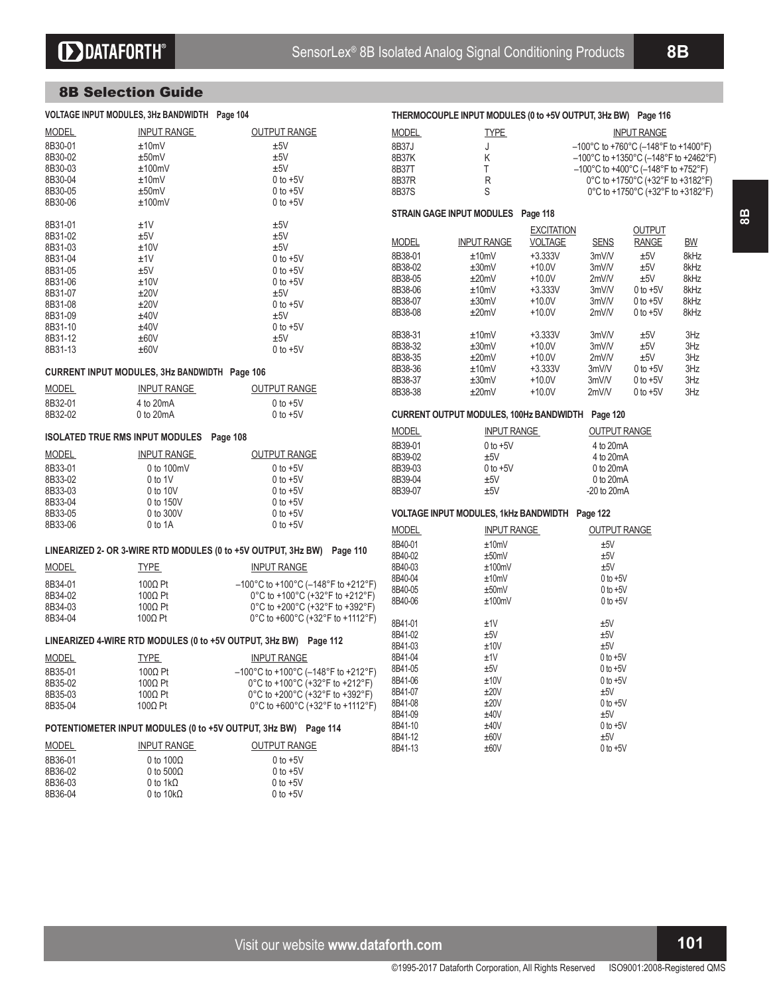**8 B**

#### 8B Selection Guide

| VOLTAGE INPUT MODULES, 3Hz BANDWIDTH Page 104                  |                    |                                                                                | THERMOCOUPLE INPUT MODULES (0 to +5V OUTPUT, 3Hz BW) Page 116 |                                                  |                   |                     |                                                                                 |           |
|----------------------------------------------------------------|--------------------|--------------------------------------------------------------------------------|---------------------------------------------------------------|--------------------------------------------------|-------------------|---------------------|---------------------------------------------------------------------------------|-----------|
| <b>MODEL</b>                                                   | <b>INPUT RANGE</b> | <b>OUTPUT RANGE</b>                                                            | <b>MODEL</b>                                                  | <b>TYPE</b>                                      |                   |                     | <b>INPUT RANGE</b>                                                              |           |
| 8B30-01                                                        |                    | ±5V                                                                            |                                                               |                                                  |                   |                     |                                                                                 |           |
|                                                                | ±10mV              |                                                                                | 8B37J                                                         | J                                                |                   |                     | $-100^{\circ}$ C to +760 $^{\circ}$ C (-148 $^{\circ}$ F to +1400 $^{\circ}$ F) |           |
| 8B30-02                                                        | ±50mV              | ±5V                                                                            | 8B37K                                                         | Κ                                                |                   |                     | $-100^{\circ}$ C to +1350°C (-148°F to +2462°F)                                 |           |
| 8B30-03                                                        | ±100mV             | ±5V                                                                            | 8B37T                                                         | Τ                                                |                   |                     | $-100^{\circ}$ C to +400 $^{\circ}$ C (-148 $^{\circ}$ F to +752 $^{\circ}$ F)  |           |
| 8B30-04                                                        | ±10mV              | $0$ to $+5V$                                                                   | 8B37R                                                         | R                                                |                   |                     | 0°C to +1750°C (+32°F to +3182°F)                                               |           |
| 8B30-05                                                        | ±50mV              | $0$ to $+5V$                                                                   | 8B37S                                                         | S                                                |                   |                     | 0°C to +1750°C (+32°F to +3182°F)                                               |           |
| 8B30-06                                                        | ±100mV             | $0$ to $+5V$                                                                   |                                                               |                                                  |                   |                     |                                                                                 |           |
|                                                                |                    |                                                                                |                                                               | STRAIN GAGE INPUT MODULES Page 118               |                   |                     |                                                                                 |           |
| 8B31-01                                                        | ±1V                | ±5V                                                                            |                                                               |                                                  |                   |                     |                                                                                 |           |
| 8B31-02                                                        | ±5V                | ±5V                                                                            |                                                               |                                                  | <b>EXCITATION</b> |                     | <b>OUTPUT</b>                                                                   |           |
| 8B31-03                                                        | ±10V               | ±5V                                                                            | <b>MODEL</b>                                                  | <b>INPUT RANGE</b>                               | <b>VOLTAGE</b>    | <b>SENS</b>         | <b>RANGE</b>                                                                    | <b>BW</b> |
| 8B31-04                                                        | ±1V                | $0$ to $+5V$                                                                   | 8B38-01                                                       | ±10mV                                            | $+3.333V$         | 3mV/V               | ±5V                                                                             | 8kHz      |
| 8B31-05                                                        | ±5V                | $0$ to $+5V$                                                                   | 8B38-02                                                       | ±30mV                                            | $+10.0V$          | 3mV/V               | ±5V                                                                             | 8kHz      |
| 8B31-06                                                        | ±10V               | $0$ to $+5V$                                                                   | 8B38-05                                                       | ±20mV                                            | $+10.0V$          | 2mVM                | ±5V                                                                             | 8kHz      |
|                                                                |                    |                                                                                | 8B38-06                                                       | ±10mV                                            | $+3.333V$         | 3mV/V               | $0$ to $+5V$                                                                    | 8kHz      |
| 8B31-07                                                        | ±20V               | ±5V                                                                            | 8B38-07                                                       | ±30mV                                            | $+10.0V$          | 3mV/V               | $0$ to $+5V$                                                                    | 8kHz      |
| 8B31-08                                                        | ±20V               | $0$ to $+5V$                                                                   | 8B38-08                                                       | ±20mV                                            | $+10.0V$          | 2mVM                | $0$ to $+5V$                                                                    | 8kHz      |
| 8B31-09                                                        | ±40V               | ±5V                                                                            |                                                               |                                                  |                   |                     |                                                                                 |           |
| 8B31-10                                                        | ±40V               | $0$ to $+5V$                                                                   |                                                               |                                                  |                   |                     |                                                                                 |           |
| 8B31-12                                                        | ±60V               | ±5V                                                                            | 8B38-31                                                       | ±10mV                                            | $+3.333V$         | 3mV/V               | ±5V                                                                             | 3Hz       |
| 8B31-13                                                        | ±60V               | $0$ to $+5V$                                                                   | 8B38-32                                                       | ±30mV                                            | $+10.0V$          | 3mV/V               | ±5V                                                                             | 3Hz       |
|                                                                |                    |                                                                                | 8B38-35                                                       | ±20mV                                            | $+10.0V$          | 2mVM                | $\pm 5V$                                                                        | 3Hz       |
| CURRENT INPUT MODULES, 3Hz BANDWIDTH Page 106                  |                    |                                                                                | 8B38-36                                                       | ±10mV                                            | $+3.333V$         | 3mV/V               | $0$ to $+5V$                                                                    | 3Hz       |
|                                                                |                    |                                                                                | 8B38-37                                                       | ±30mV                                            | $+10.0V$          | 3mV/V               | $0$ to $+5V$                                                                    | 3Hz       |
| MODEL                                                          | <b>INPUT RANGE</b> | <b>OUTPUT RANGE</b>                                                            | 8B38-38                                                       | ±20mV                                            | $+10.0V$          | 2mV/V               | $0$ to $+5V$                                                                    | 3Hz       |
| 8B32-01                                                        | 4 to 20mA          | $0$ to $+5V$                                                                   |                                                               |                                                  |                   |                     |                                                                                 |           |
| 8B32-02                                                        | 0 to 20mA          | $0$ to $+5V$                                                                   |                                                               | CURRENT OUTPUT MODULES, 100Hz BANDWIDTH Page 120 |                   |                     |                                                                                 |           |
|                                                                |                    |                                                                                | <b>MODEL</b>                                                  | <b>INPUT RANGE</b>                               |                   | <b>OUTPUT RANGE</b> |                                                                                 |           |
| ISOLATED TRUE RMS INPUT MODULES Page 108                       |                    |                                                                                | 8B39-01                                                       | $0$ to $+5V$                                     |                   | 4 to 20mA           |                                                                                 |           |
| <b>MODEL</b>                                                   | <b>INPUT RANGE</b> | <b>OUTPUT RANGE</b>                                                            | 8B39-02                                                       | ±5V                                              |                   | 4 to 20mA           |                                                                                 |           |
|                                                                |                    |                                                                                |                                                               |                                                  |                   |                     |                                                                                 |           |
| 8B33-01                                                        | 0 to 100mV         | $0$ to $+5V$                                                                   | 8B39-03                                                       | $0$ to $+5V$                                     |                   | 0 to 20mA           |                                                                                 |           |
| 8B33-02                                                        | 0 to 1V            | $0$ to $+5V$                                                                   | 8B39-04                                                       | ±5V                                              |                   | 0 to 20mA           |                                                                                 |           |
| 8B33-03                                                        | 0 to 10V           | $0$ to $+5V$                                                                   | 8B39-07                                                       | ±5V                                              |                   | $-20$ to $20mA$     |                                                                                 |           |
| 8B33-04                                                        | 0 to 150V          | $0$ to $+5V$                                                                   |                                                               |                                                  |                   |                     |                                                                                 |           |
| 8B33-05                                                        | 0 to 300V          | $0$ to $+5V$                                                                   |                                                               | VOLTAGE INPUT MODULES, 1kHz BANDWIDTH Page 122   |                   |                     |                                                                                 |           |
| 8B33-06                                                        | 0 to 1A            | $0$ to $+5V$                                                                   |                                                               |                                                  |                   |                     |                                                                                 |           |
|                                                                |                    |                                                                                | <b>MODEL</b>                                                  | <b>INPUT RANGE</b>                               |                   | <b>OUTPUT RANGE</b> |                                                                                 |           |
|                                                                |                    | LINEARIZED 2- OR 3-WIRE RTD MODULES (0 to +5V OUTPUT, 3Hz BW) Page 110         | 8B40-01                                                       | ±10mV                                            |                   | ±5V                 |                                                                                 |           |
|                                                                |                    |                                                                                | 8B40-02                                                       | ±50mV                                            |                   | ±5V                 |                                                                                 |           |
| <b>MODEL</b>                                                   | <b>TYPE</b>        | <b>INPUT RANGE</b>                                                             | 8B40-03                                                       | ±100mV                                           |                   | ±5V                 |                                                                                 |           |
|                                                                |                    |                                                                                | 8B40-04                                                       | ±10mV                                            |                   | $0$ to $+5V$        |                                                                                 |           |
| 8B34-01                                                        | $100\Omega$ Pt     | $-100^{\circ}$ C to +100 $^{\circ}$ C (-148 $^{\circ}$ F to +212 $^{\circ}$ F) | 8B40-05                                                       | ±50mV                                            |                   | $0$ to $+5V$        |                                                                                 |           |
| 8B34-02                                                        | 100Ω Pt            | 0°C to +100°C (+32°F to +212°F)                                                | 8B40-06                                                       | ±100mV                                           |                   | $0$ to $+5V$        |                                                                                 |           |
| 8B34-03                                                        | $100\Omega$ Pt     | 0°C to +200°C (+32°F to +392°F)                                                |                                                               |                                                  |                   |                     |                                                                                 |           |
| 8B34-04                                                        | $100\Omega$ Pt     | 0°C to +600°C (+32°F to +1112°F)                                               | 8B41-01                                                       | ±1V                                              |                   | ±5V                 |                                                                                 |           |
|                                                                |                    |                                                                                | 8B41-02                                                       | ±5V                                              |                   | ±5V                 |                                                                                 |           |
|                                                                |                    | LINEARIZED 4-WIRE RTD MODULES (0 to +5V OUTPUT, 3Hz BW) Page 112               | 8B41-03                                                       | ±10V                                             |                   | ±5V                 |                                                                                 |           |
|                                                                |                    |                                                                                |                                                               |                                                  |                   |                     |                                                                                 |           |
| <b>MODEL</b>                                                   | <b>TYPE</b>        | <b>INPUT RANGE</b>                                                             | 8B41-04                                                       | ±1V                                              |                   | $0$ to $+5V$        |                                                                                 |           |
| 8B35-01                                                        | $100\Omega$ Pt     | -100°C to +100°C (-148°F to +212°F)                                            | 8B41-05                                                       | ±5V                                              |                   | $0$ to $+5V$        |                                                                                 |           |
| 8B35-02                                                        | 100Ω Pt            | 0°C to +100°C (+32°F to +212°F)                                                | 8B41-06                                                       | ±10V                                             |                   | $0$ to $+5V$        |                                                                                 |           |
| 8B35-03                                                        | 100Ω Pt            | 0°C to +200°C (+32°F to +392°F)                                                | 8B41-07                                                       | ±20V                                             |                   | ±5V                 |                                                                                 |           |
| 8B35-04                                                        | $100\Omega$ Pt     | 0°C to +600°C (+32°F to +1112°F)                                               | 8B41-08                                                       | ±20V                                             |                   | $0$ to $+5V$        |                                                                                 |           |
|                                                                |                    |                                                                                | 8B41-09                                                       | ±40V                                             |                   | ±5V                 |                                                                                 |           |
| POTENTIOMETER INPUT MODULES (0 to +5V OUTPUT, 3Hz BW) Page 114 |                    |                                                                                | 8B41-10                                                       | ±40V                                             |                   | $0$ to $+5V$        |                                                                                 |           |
|                                                                |                    |                                                                                | 8B41-12                                                       | ±60V                                             |                   | ±5V                 |                                                                                 |           |
| <b>MODEL</b>                                                   | INPUT RANGE        | <b>OUTPUT RANGE</b>                                                            | 8B41-13                                                       | ±60V                                             |                   | $0$ to $+5V$        |                                                                                 |           |
| 8B36-01                                                        | 0 to $100\Omega$   | $0$ to $+5V$                                                                   |                                                               |                                                  |                   |                     |                                                                                 |           |
| 8B36-02                                                        | 0 to $500\Omega$   | $0$ to $+5V$                                                                   |                                                               |                                                  |                   |                     |                                                                                 |           |
| 8B36-03                                                        | 0 to 1 $k\Omega$   | $0$ to $+5V$                                                                   |                                                               |                                                  |                   |                     |                                                                                 |           |
| 8B36-04                                                        | 0 to $10k\Omega$   | $0$ to $+5V$                                                                   |                                                               |                                                  |                   |                     |                                                                                 |           |

Visit our website **www.dataforth.com 1 0 1**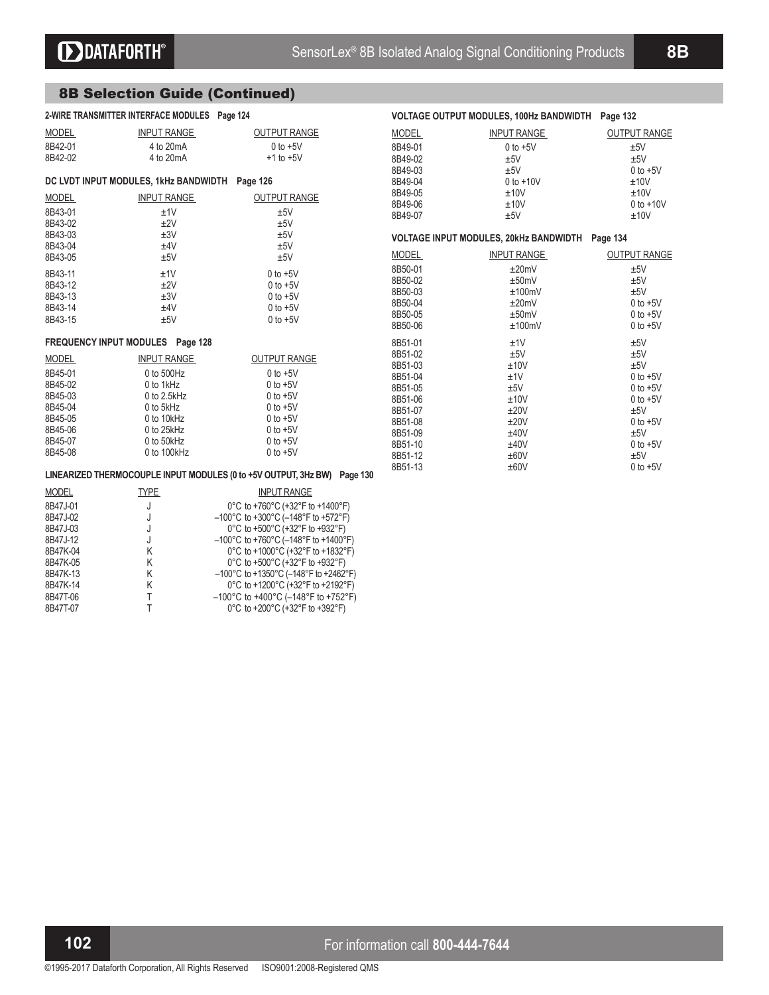## 8B Selection Guide (Continued)

| 2-WIRE TRANSMITTER INTERFACE MODULES Page 124  |                          |                                                                                                                                                       |                    | VOLTAGE OUTPUT MODULES, 100Hz BANDWIDTH Page 132 |                              |
|------------------------------------------------|--------------------------|-------------------------------------------------------------------------------------------------------------------------------------------------------|--------------------|--------------------------------------------------|------------------------------|
| <b>MODEL</b>                                   | <b>INPUT RANGE</b>       | <b>OUTPUT RANGE</b>                                                                                                                                   | <b>MODEL</b>       | <b>INPUT RANGE</b>                               | <b>OUTPUT RANGE</b>          |
| 8B42-01                                        | 4 to 20mA                | $0$ to $+5V$                                                                                                                                          | 8B49-01            | $0$ to $+5V$                                     | ±5V                          |
| 8B42-02                                        | 4 to 20mA                | $+1$ to $+5V$                                                                                                                                         | 8B49-02            | ±5V                                              | ±5V                          |
|                                                |                          |                                                                                                                                                       | 8B49-03            | ±5V                                              | $0$ to $+5V$                 |
| DC LVDT INPUT MODULES, 1kHz BANDWIDTH Page 126 |                          |                                                                                                                                                       | 8B49-04            | $0$ to $+10V$                                    | ±10V                         |
| <b>MODEL</b>                                   | <b>INPUT RANGE</b>       | <b>OUTPUT RANGE</b>                                                                                                                                   | 8B49-05            | ±10V                                             | ±10V                         |
| 8B43-01                                        | ±1V                      | ±5V                                                                                                                                                   | 8B49-06            | ±10V                                             | $0$ to $+10V$                |
| 8B43-02                                        | ±2V                      | ±5V                                                                                                                                                   | 8B49-07            | ±5V                                              | ±10V                         |
| 8B43-03                                        | ±3V                      | ±5V                                                                                                                                                   |                    |                                                  |                              |
| 8B43-04                                        | ±4V                      | ±5V                                                                                                                                                   |                    | VOLTAGE INPUT MODULES, 20kHz BANDWIDTH Page 134  |                              |
| 8B43-05                                        | ±5V                      | ±5V                                                                                                                                                   | <b>MODEL</b>       | <b>INPUT RANGE</b>                               | <b>OUTPUT RANGE</b>          |
| 8B43-11                                        | ±1V                      | $0$ to $+5V$                                                                                                                                          | 8B50-01            | ±20mV                                            | ±5V                          |
| 8B43-12                                        | ±2V                      | $0$ to $+5V$                                                                                                                                          | 8B50-02            | ±50mV                                            | ±5V                          |
| 8B43-13                                        | ±3V                      | $0$ to $+5V$                                                                                                                                          | 8B50-03            | ±100mV                                           | ±5V                          |
| 8B43-14                                        | ±4V                      | $0$ to $+5V$                                                                                                                                          | 8B50-04            | ±20mV                                            | $0$ to $+5V$                 |
| 8B43-15                                        | ±5V                      | $0$ to $+5V$                                                                                                                                          | 8B50-05            | ±50mV                                            | $0$ to $+5V$                 |
|                                                |                          |                                                                                                                                                       | 8B50-06            | ±100mV                                           | $0$ to $+5V$                 |
| FREQUENCY INPUT MODULES Page 128               |                          |                                                                                                                                                       | 8B51-01            | ±1V                                              | ±5V                          |
| <b>MODEL</b>                                   | <b>INPUT RANGE</b>       | <b>OUTPUT RANGE</b>                                                                                                                                   | 8B51-02            | ±5V                                              | ±5V                          |
| 8B45-01                                        | 0 to 500Hz               | $0$ to $+5V$                                                                                                                                          | 8B51-03            | ±10V                                             | ±5V                          |
| 8B45-02                                        | 0 to 1kHz                | $0$ to $+5V$                                                                                                                                          | 8B51-04<br>8B51-05 | ±1V<br>±5V                                       | $0$ to $+5V$<br>$0$ to $+5V$ |
| 8B45-03                                        | $0$ to $2.5$ kHz         | $0$ to $+5V$                                                                                                                                          | 8B51-06            | ±10V                                             | $0$ to $+5V$                 |
| 8B45-04                                        | 0 to 5kHz                | $0$ to $+5V$                                                                                                                                          | 8B51-07            | ±20V                                             | ±5V                          |
| 8B45-05                                        | 0 to 10kHz               | $0$ to $+5V$                                                                                                                                          | 8B51-08            | ±20V                                             | $0$ to $+5V$                 |
| 8B45-06                                        | 0 to 25kHz               | $0$ to $+5V$                                                                                                                                          | 8B51-09            | ±40V                                             | ±5V                          |
| 8B45-07                                        | 0 to 50kHz               | $0$ to $+5V$                                                                                                                                          | 8B51-10            | ±40V                                             | $0$ to $+5V$                 |
| 8B45-08                                        | 0 to 100kHz              | $0$ to $+5V$                                                                                                                                          | 8B51-12            | ±60V                                             | ±5V                          |
|                                                |                          |                                                                                                                                                       | 8B51-13            | ±60V                                             | $0$ to $+5V$                 |
|                                                |                          | LINEARIZED THERMOCOUPLE INPUT MODULES (0 to +5V OUTPUT, 3Hz BW) Page 130                                                                              |                    |                                                  |                              |
| <b>MODEL</b>                                   | <b>TYPE</b>              | <b>INPUT RANGE</b>                                                                                                                                    |                    |                                                  |                              |
| <b>OD47104</b>                                 | <b>Contract Contract</b> | $\overline{100}$ to $\overline{17}$ $\overline{200}$ $\overline{1}$ $\overline{100}$ $\overline{1}$ $\overline{100}$ $\overline{100}$ $\overline{11}$ |                    |                                                  |                              |

| --- <del>---</del> | <u>.</u> |                                                                                  |
|--------------------|----------|----------------------------------------------------------------------------------|
| 8B47J-01           |          | 0°C to +760°C (+32°F to +1400°F)                                                 |
| 8B47J-02           |          | $-100^{\circ}$ C to +300 $^{\circ}$ C (-148 $^{\circ}$ F to +572 $^{\circ}$ F)   |
| 8B47J-03           |          | 0°C to +500°C (+32°F to +932°F)                                                  |
| 8B47J-12           |          | $-100^{\circ}$ C to +760 $^{\circ}$ C (-148 $^{\circ}$ F to +1400 $^{\circ}$ F)  |
| 8B47K-04           | K.       | 0°C to +1000°C (+32°F to +1832°F)                                                |
| 8B47K-05           | K.       | 0°C to +500°C (+32°F to +932°F)                                                  |
| 8B47K-13           | K        | $-100^{\circ}$ C to +1350 $^{\circ}$ C (-148 $^{\circ}$ F to +2462 $^{\circ}$ F) |
| 8B47K-14           | K.       | 0°C to +1200°C (+32°F to +2192°F)                                                |
| 8B47T-06           |          | $-100^{\circ}$ C to +400 $^{\circ}$ C (-148 $^{\circ}$ F to +752 $^{\circ}$ F)   |
| 8B47T-07           |          | 0°C to +200°C (+32°F to +392°F)                                                  |
|                    |          |                                                                                  |

## **102 I Example 2 For information call 800-444-7644**